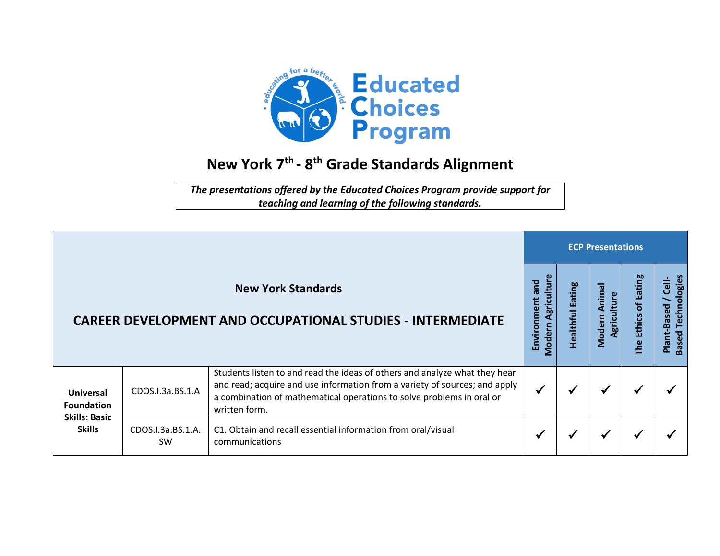

## **New York 7 th - 8 th Grade Standards Alignment**

*The presentations offered by the Educated Choices Program provide support for teaching and learning of the following standards.*

|                                       |                                |                                                                                                                                                                                                                                                    |                                             |                     | <b>ECP Presentations</b>                   |                                            |                                                 |  |  |  |  |  |
|---------------------------------------|--------------------------------|----------------------------------------------------------------------------------------------------------------------------------------------------------------------------------------------------------------------------------------------------|---------------------------------------------|---------------------|--------------------------------------------|--------------------------------------------|-------------------------------------------------|--|--|--|--|--|
|                                       |                                | <b>New York Standards</b><br><b>CAREER DEVELOPMENT AND OCCUPATIONAL STUDIES - INTERMEDIATE</b>                                                                                                                                                     | Agriculture<br>Bue<br>Environment<br>Modern | Eating<br>Healthful | <b>G</b><br>Anima<br>Agriculture<br>Modern | <b>Eating</b><br>Ⴆ<br><b>Ethics</b><br>The | Technologies<br>—<br>تا<br>Plant-Based<br>Based |  |  |  |  |  |
| <b>Universal</b><br><b>Foundation</b> | CDOS.I.3a.BS.1.A               | Students listen to and read the ideas of others and analyze what they hear<br>and read; acquire and use information from a variety of sources; and apply<br>a combination of mathematical operations to solve problems in oral or<br>written form. |                                             |                     | √                                          |                                            |                                                 |  |  |  |  |  |
| <b>Skills: Basic</b><br><b>Skills</b> | CDOS.I.3a.BS.1.A.<br><b>SW</b> | C1. Obtain and recall essential information from oral/visual<br>communications                                                                                                                                                                     |                                             |                     | ✔                                          |                                            |                                                 |  |  |  |  |  |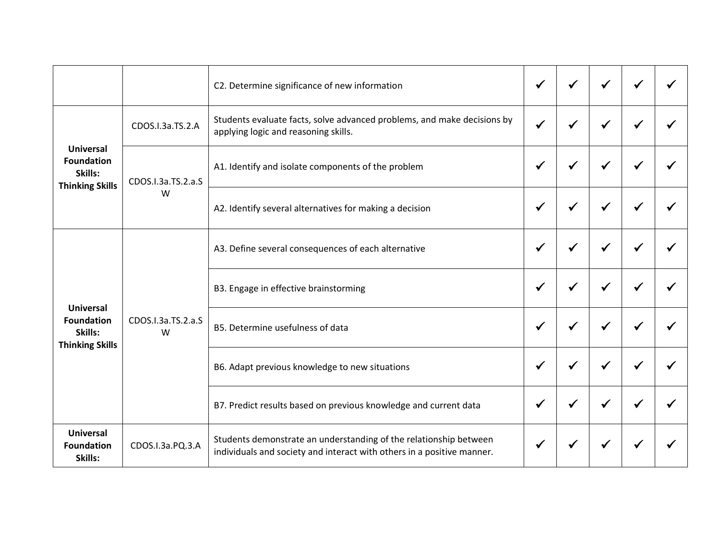|                                                                            |                         | C2. Determine significance of new information                                                                                               |   |              |   |  |
|----------------------------------------------------------------------------|-------------------------|---------------------------------------------------------------------------------------------------------------------------------------------|---|--------------|---|--|
| <b>Universal</b><br><b>Foundation</b><br>Skills:<br><b>Thinking Skills</b> | CDOS.I.3a.TS.2.A        | Students evaluate facts, solve advanced problems, and make decisions by<br>applying logic and reasoning skills.                             |   |              |   |  |
|                                                                            | CDOS.I.3a.TS.2.a.S<br>W | A1. Identify and isolate components of the problem                                                                                          | ✔ | $\checkmark$ | √ |  |
|                                                                            |                         | A2. Identify several alternatives for making a decision                                                                                     |   |              |   |  |
|                                                                            |                         | A3. Define several consequences of each alternative                                                                                         |   |              |   |  |
| <b>Universal</b>                                                           |                         | B3. Engage in effective brainstorming                                                                                                       |   | ✔            |   |  |
| <b>Foundation</b><br>Skills:<br><b>Thinking Skills</b>                     | CDOS.I.3a.TS.2.a.S<br>W | B5. Determine usefulness of data                                                                                                            |   |              |   |  |
|                                                                            |                         | B6. Adapt previous knowledge to new situations                                                                                              |   |              |   |  |
|                                                                            |                         | B7. Predict results based on previous knowledge and current data                                                                            |   |              |   |  |
| <b>Universal</b><br><b>Foundation</b><br>Skills:                           | CDOS.I.3a.PQ.3.A        | Students demonstrate an understanding of the relationship between<br>individuals and society and interact with others in a positive manner. |   |              |   |  |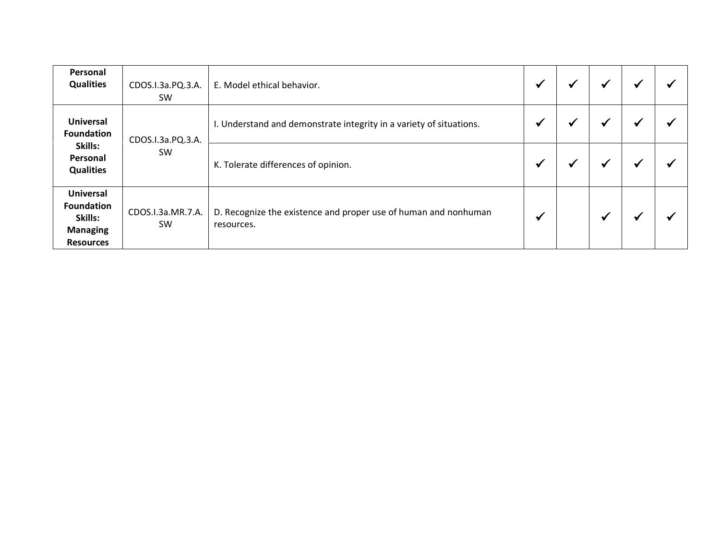| Personal<br><b>Qualities</b>                                                            | CDOS.I.3a.PQ.3.A.<br>SW.       | E. Model ethical behavior.                                                    |   |  | ₩         |  |
|-----------------------------------------------------------------------------------------|--------------------------------|-------------------------------------------------------------------------------|---|--|-----------|--|
| <b>Universal</b><br><b>Foundation</b><br>Skills:<br>Personal<br><b>Qualities</b>        | CDOS.I.3a.PQ.3.A.              | I. Understand and demonstrate integrity in a variety of situations.           | v |  | ₩         |  |
|                                                                                         | <b>SW</b>                      | K. Tolerate differences of opinion.                                           |   |  | $\bullet$ |  |
| <b>Universal</b><br><b>Foundation</b><br>Skills:<br><b>Managing</b><br><b>Resources</b> | CDOS.I.3a.MR.7.A.<br><b>SW</b> | D. Recognize the existence and proper use of human and nonhuman<br>resources. | √ |  | $\bullet$ |  |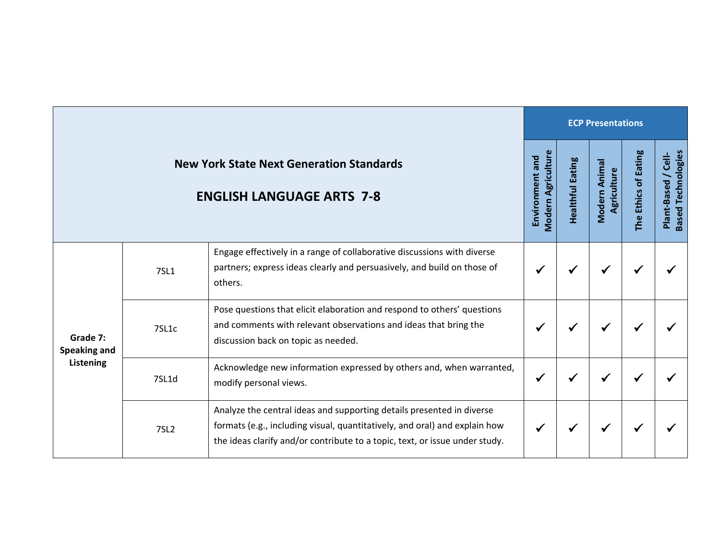|                                              |             |                                                                                                                                                                                                                                    |                                              |                  | <b>ECP Presentations</b>     |                      |                                                      |
|----------------------------------------------|-------------|------------------------------------------------------------------------------------------------------------------------------------------------------------------------------------------------------------------------------------|----------------------------------------------|------------------|------------------------------|----------------------|------------------------------------------------------|
|                                              |             | <b>New York State Next Generation Standards</b><br><b>ENGLISH LANGUAGE ARTS 7-8</b>                                                                                                                                                | <b>Modern Agriculture</b><br>Environment and | Healthful Eating | Modern Animal<br>Agriculture | The Ethics of Eating | <b>Based Technologies</b><br>$C$ ell-<br>Plant-Based |
| Grade 7:<br><b>Speaking and</b><br>Listening | <b>7SL1</b> | Engage effectively in a range of collaborative discussions with diverse<br>partners; express ideas clearly and persuasively, and build on those of<br>others.                                                                      |                                              |                  | ₩                            |                      |                                                      |
|                                              | 7SL1c       | Pose questions that elicit elaboration and respond to others' questions<br>and comments with relevant observations and ideas that bring the<br>discussion back on topic as needed.                                                 |                                              |                  | ✔                            |                      |                                                      |
|                                              | 7SL1d       | Acknowledge new information expressed by others and, when warranted,<br>modify personal views.                                                                                                                                     | ✔                                            |                  | √                            | $\checkmark$         |                                                      |
|                                              | <b>7SL2</b> | Analyze the central ideas and supporting details presented in diverse<br>formats (e.g., including visual, quantitatively, and oral) and explain how<br>the ideas clarify and/or contribute to a topic, text, or issue under study. |                                              |                  | ✔                            |                      |                                                      |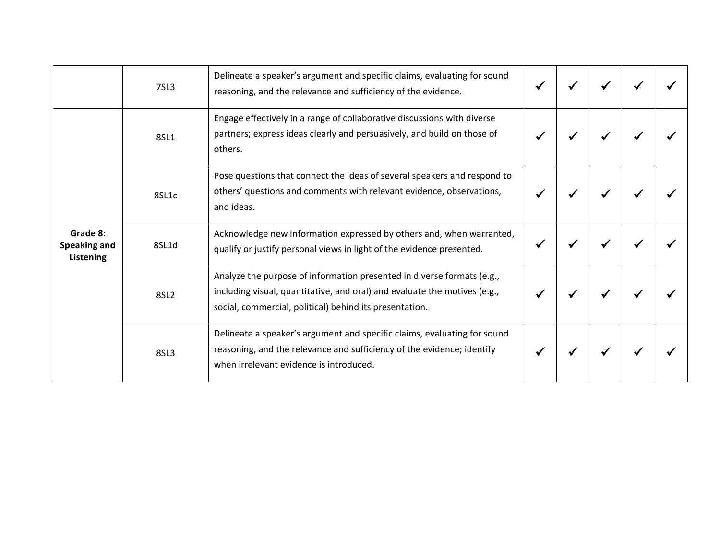|                                              | 7SL3             | Delineate a speaker's argument and specific claims, evaluating for sound<br>reasoning, and the relevance and sufficiency of the evidence.                                                                      |  |  |  |
|----------------------------------------------|------------------|----------------------------------------------------------------------------------------------------------------------------------------------------------------------------------------------------------------|--|--|--|
|                                              | 8SL1             | Engage effectively in a range of collaborative discussions with diverse<br>partners; express ideas clearly and persuasively, and build on those of<br>others.                                                  |  |  |  |
|                                              | 8SL1c            | Pose questions that connect the ideas of several speakers and respond to<br>others' questions and comments with relevant evidence, observations,<br>and ideas.                                                 |  |  |  |
| Grade 8:<br>Speaking and<br><b>Listening</b> | 8SL1d            | Acknowledge new information expressed by others and, when warranted,<br>qualify or justify personal views in light of the evidence presented.                                                                  |  |  |  |
|                                              | 8SL <sub>2</sub> | Analyze the purpose of information presented in diverse formats (e.g.,<br>including visual, quantitative, and oral) and evaluate the motives (e.g.,<br>social, commercial, political) behind its presentation. |  |  |  |
|                                              | 8SL3             | Delineate a speaker's argument and specific claims, evaluating for sound<br>reasoning, and the relevance and sufficiency of the evidence; identify<br>when irrelevant evidence is introduced.                  |  |  |  |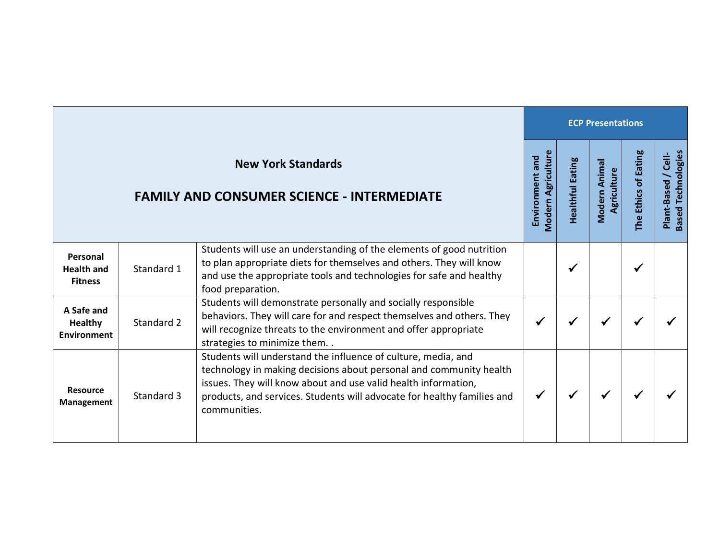|                                                    |            |                                                                                                                                                                                                                                                                                                  |                                              |                  | <b>ECP Presentations</b>    |                      |                                                   |
|----------------------------------------------------|------------|--------------------------------------------------------------------------------------------------------------------------------------------------------------------------------------------------------------------------------------------------------------------------------------------------|----------------------------------------------|------------------|-----------------------------|----------------------|---------------------------------------------------|
|                                                    |            | <b>New York Standards</b><br><b>FAMILY AND CONSUMER SCIENCE - INTERMEDIATE</b>                                                                                                                                                                                                                   | <b>Modern Agriculture</b><br>Environment and | Healthful Eating | Modern Anima<br>Agriculture | The Ethics of Eating | <b>Based Technologies</b><br>Cell-<br>Plant-Based |
| Personal<br><b>Health and</b><br><b>Fitness</b>    | Standard 1 | Students will use an understanding of the elements of good nutrition<br>to plan appropriate diets for themselves and others. They will know<br>and use the appropriate tools and technologies for safe and healthy<br>food preparation.                                                          |                                              |                  |                             | √                    |                                                   |
| A Safe and<br><b>Healthy</b><br><b>Environment</b> | Standard 2 | Students will demonstrate personally and socially responsible<br>behaviors. They will care for and respect themselves and others. They<br>will recognize threats to the environment and offer appropriate<br>strategies to minimize them. .                                                      |                                              |                  | ✔                           |                      |                                                   |
| <b>Resource</b><br><b>Management</b>               | Standard 3 | Students will understand the influence of culture, media, and<br>technology in making decisions about personal and community health<br>issues. They will know about and use valid health information,<br>products, and services. Students will advocate for healthy families and<br>communities. |                                              |                  |                             |                      |                                                   |

r.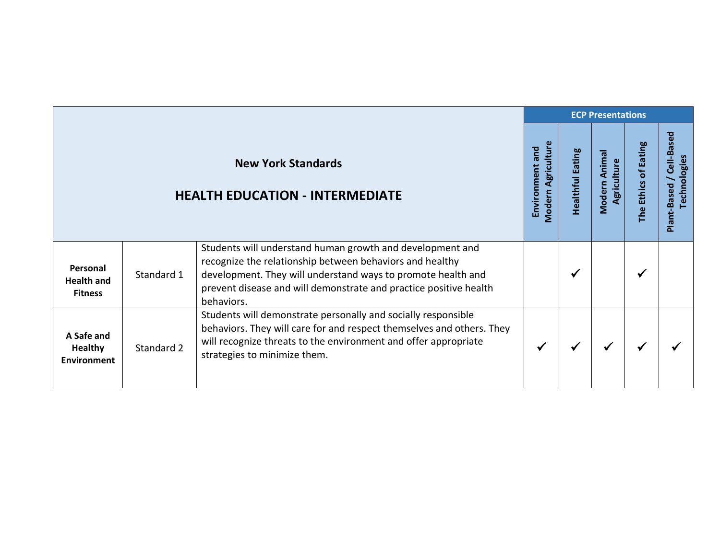|                                                    |            |                                                                                                                                                                                                                                                                          |                                              |                         | <b>ECP Presentations</b>     |                      |                                                  |
|----------------------------------------------------|------------|--------------------------------------------------------------------------------------------------------------------------------------------------------------------------------------------------------------------------------------------------------------------------|----------------------------------------------|-------------------------|------------------------------|----------------------|--------------------------------------------------|
|                                                    |            | <b>New York Standards</b><br><b>HEALTH EDUCATION - INTERMEDIATE</b>                                                                                                                                                                                                      | <b>Modern Agriculture</b><br>Environment and | <b>Healthful Eating</b> | Modern Animal<br>Agriculture | The Ethics of Eating | Cell-Based<br><b>Technologies</b><br>Plant-Based |
| Personal<br><b>Health and</b><br><b>Fitness</b>    | Standard 1 | Students will understand human growth and development and<br>recognize the relationship between behaviors and healthy<br>development. They will understand ways to promote health and<br>prevent disease and will demonstrate and practice positive health<br>behaviors. |                                              | ✔                       |                              | ✔                    |                                                  |
| A Safe and<br><b>Healthy</b><br><b>Environment</b> | Standard 2 | Students will demonstrate personally and socially responsible<br>behaviors. They will care for and respect themselves and others. They<br>will recognize threats to the environment and offer appropriate<br>strategies to minimize them.                                | √                                            | $\checkmark$            | ✔                            | ✔                    |                                                  |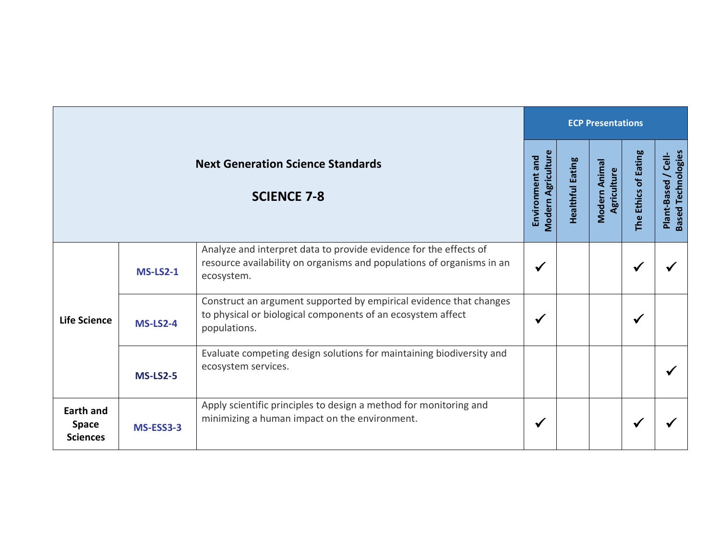|                                                     |                 |                                                                                                                                                          |                                              |                         | <b>ECP Presentations</b>     |                      |                                                   |
|-----------------------------------------------------|-----------------|----------------------------------------------------------------------------------------------------------------------------------------------------------|----------------------------------------------|-------------------------|------------------------------|----------------------|---------------------------------------------------|
|                                                     |                 | <b>Next Generation Science Standards</b><br><b>SCIENCE 7-8</b>                                                                                           | <b>Modern Agriculture</b><br>Environment and | <b>Healthful Eating</b> | Modern Animal<br>Agriculture | The Ethics of Eating | <b>Based Technologies</b><br>Cell-<br>Plant-Based |
|                                                     | <b>MS-LS2-1</b> | Analyze and interpret data to provide evidence for the effects of<br>resource availability on organisms and populations of organisms in an<br>ecosystem. |                                              |                         |                              |                      |                                                   |
| <b>Life Science</b>                                 | $MS-LS2-4$      | Construct an argument supported by empirical evidence that changes<br>to physical or biological components of an ecosystem affect<br>populations.        |                                              |                         |                              | ✔                    |                                                   |
|                                                     | $MS-LS2-5$      | Evaluate competing design solutions for maintaining biodiversity and<br>ecosystem services.                                                              |                                              |                         |                              |                      |                                                   |
| <b>Earth and</b><br><b>Space</b><br><b>Sciences</b> | MS-ESS3-3       | Apply scientific principles to design a method for monitoring and<br>minimizing a human impact on the environment.                                       |                                              |                         |                              |                      |                                                   |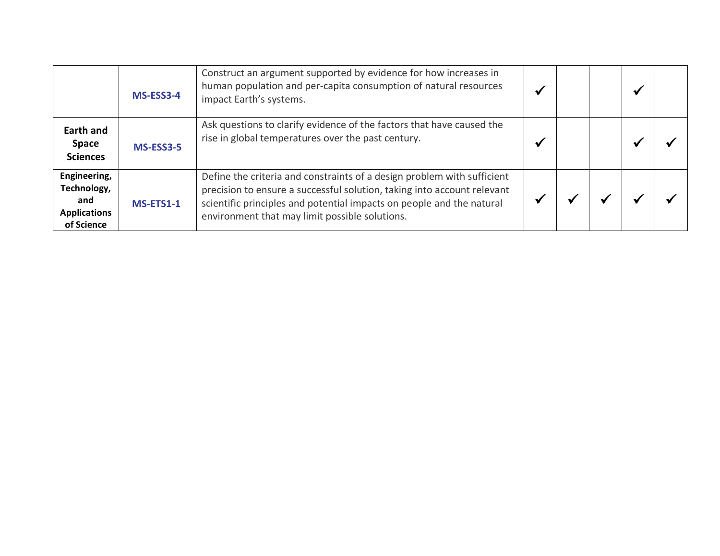|                                                                         | MS-ESS3-4        | Construct an argument supported by evidence for how increases in<br>human population and per-capita consumption of natural resources<br>impact Earth's systems.                                                                                                               |  | ↵ |  |
|-------------------------------------------------------------------------|------------------|-------------------------------------------------------------------------------------------------------------------------------------------------------------------------------------------------------------------------------------------------------------------------------|--|---|--|
| <b>Earth and</b><br><b>Space</b><br><b>Sciences</b>                     | MS-ESS3-5        | Ask questions to clarify evidence of the factors that have caused the<br>rise in global temperatures over the past century.                                                                                                                                                   |  |   |  |
| Engineering,<br>Technology,<br>and<br><b>Applications</b><br>of Science | <b>MS-ETS1-1</b> | Define the criteria and constraints of a design problem with sufficient<br>precision to ensure a successful solution, taking into account relevant<br>scientific principles and potential impacts on people and the natural<br>environment that may limit possible solutions. |  |   |  |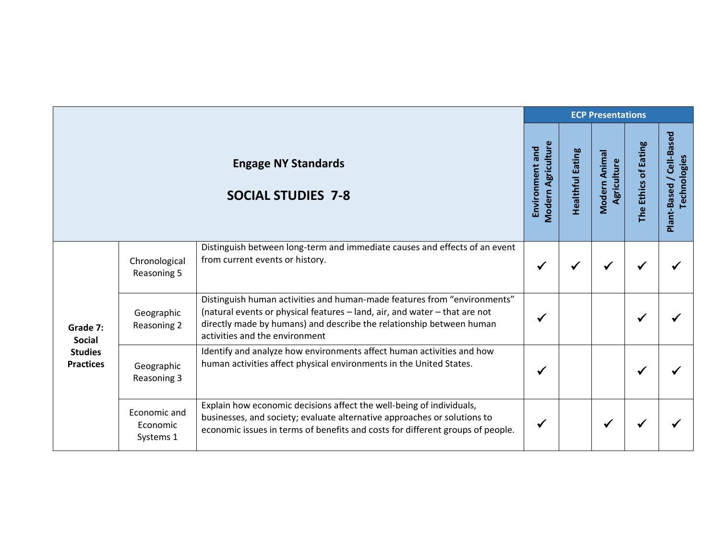|                                                                 |                                       |                                                                                                                                                                                                                                                                  |                                              |                         | <b>ECP Presentations</b>     |                      |                                          |
|-----------------------------------------------------------------|---------------------------------------|------------------------------------------------------------------------------------------------------------------------------------------------------------------------------------------------------------------------------------------------------------------|----------------------------------------------|-------------------------|------------------------------|----------------------|------------------------------------------|
|                                                                 |                                       | <b>Engage NY Standards</b><br><b>SOCIAL STUDIES 7-8</b>                                                                                                                                                                                                          | <b>Modern Agriculture</b><br>Environment and | <b>Healthful Eating</b> | Modern Animal<br>Agriculture | The Ethics of Eating | Plant-Based / Cell-Based<br>Technologies |
| Grade 7:<br><b>Social</b><br><b>Studies</b><br><b>Practices</b> | Chronological<br>Reasoning 5          | Distinguish between long-term and immediate causes and effects of an event<br>from current events or history.                                                                                                                                                    | ✔                                            |                         | ✔                            | ✔                    |                                          |
|                                                                 | Geographic<br>Reasoning 2             | Distinguish human activities and human-made features from "environments"<br>(natural events or physical features - land, air, and water - that are not<br>directly made by humans) and describe the relationship between human<br>activities and the environment | ✔                                            |                         |                              | ✔                    |                                          |
|                                                                 | Geographic<br>Reasoning 3             | Identify and analyze how environments affect human activities and how<br>human activities affect physical environments in the United States.                                                                                                                     | √                                            |                         |                              | √                    |                                          |
|                                                                 | Economic and<br>Economic<br>Systems 1 | Explain how economic decisions affect the well-being of individuals,<br>businesses, and society; evaluate alternative approaches or solutions to<br>economic issues in terms of benefits and costs for different groups of people.                               | ✔                                            |                         | √                            |                      |                                          |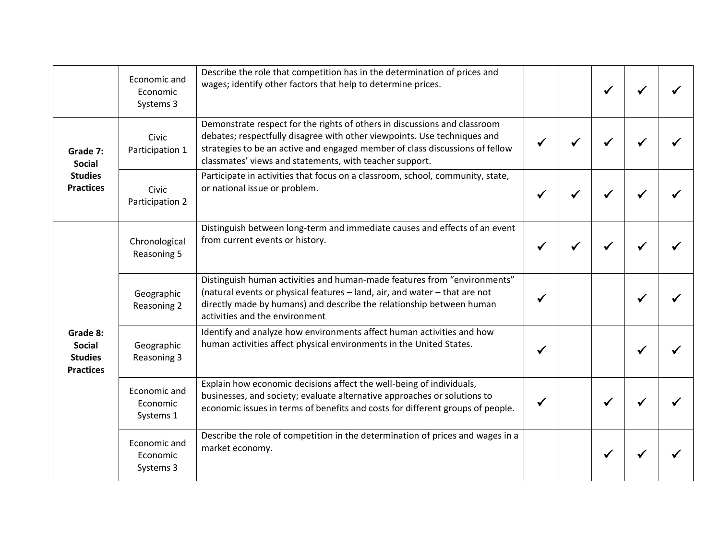|                                                                 | Economic and<br>Economic<br>Systems 3 | Describe the role that competition has in the determination of prices and<br>wages; identify other factors that help to determine prices.                                                                                                                                                        |  | ✔ |  |
|-----------------------------------------------------------------|---------------------------------------|--------------------------------------------------------------------------------------------------------------------------------------------------------------------------------------------------------------------------------------------------------------------------------------------------|--|---|--|
| Grade 7:<br><b>Social</b>                                       | Civic<br>Participation 1              | Demonstrate respect for the rights of others in discussions and classroom<br>debates; respectfully disagree with other viewpoints. Use techniques and<br>strategies to be an active and engaged member of class discussions of fellow<br>classmates' views and statements, with teacher support. |  |   |  |
| <b>Studies</b><br><b>Practices</b>                              | Civic<br>Participation 2              | Participate in activities that focus on a classroom, school, community, state,<br>or national issue or problem.                                                                                                                                                                                  |  |   |  |
|                                                                 | Chronological<br>Reasoning 5          | Distinguish between long-term and immediate causes and effects of an event<br>from current events or history.                                                                                                                                                                                    |  |   |  |
|                                                                 | Geographic<br>Reasoning 2             | Distinguish human activities and human-made features from "environments"<br>(natural events or physical features - land, air, and water - that are not<br>directly made by humans) and describe the relationship between human<br>activities and the environment                                 |  |   |  |
| Grade 8:<br><b>Social</b><br><b>Studies</b><br><b>Practices</b> | Geographic<br>Reasoning 3             | Identify and analyze how environments affect human activities and how<br>human activities affect physical environments in the United States.                                                                                                                                                     |  |   |  |
|                                                                 | Economic and<br>Economic<br>Systems 1 | Explain how economic decisions affect the well-being of individuals,<br>businesses, and society; evaluate alternative approaches or solutions to<br>economic issues in terms of benefits and costs for different groups of people.                                                               |  | ✔ |  |
|                                                                 | Economic and<br>Economic<br>Systems 3 | Describe the role of competition in the determination of prices and wages in a<br>market economy.                                                                                                                                                                                                |  | ✔ |  |